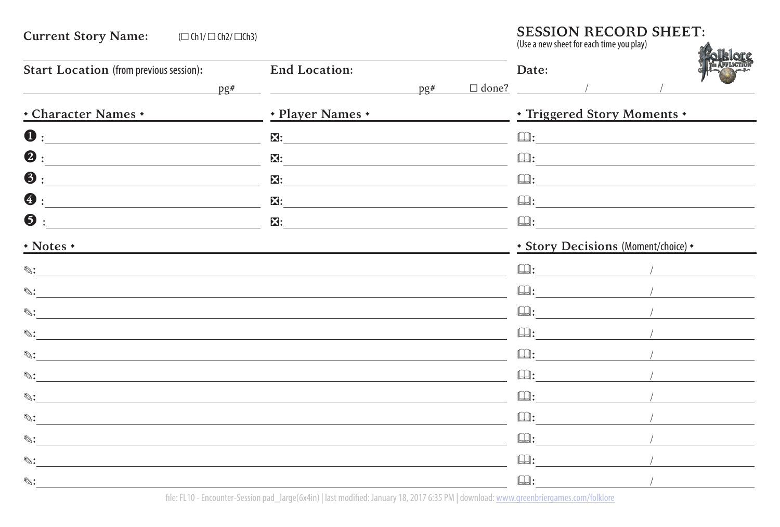## **Current Story Name:** (☐ Ch1/ ☐ Ch2/ ☐Ch3)  $\overline{a}$ **SESSION RECORD SHEET:** (Use a new sheet for each time you play) **Start Location** (from previous session)**:**  $p \rho \#$ **End Location:**  $DQ#$ **Date:**  $\Box$  done?  $\qquad \qquad /\qquad \qquad$ • **Character Names** • • **Player Names** • • **Triggered Story Moments** • **❶ :** ❷ **:** ❸ **:** ❹ **:** ❺ **:** ❎**: EX:** The contract of the contract of the contract of the contract of the contract of the contract of the contract of the contract of the contract of the contract of the contract of the contract of the contract of the cont ❎**:**  $\mathbf{X}$ : **E**: The contract of the contract of the contract of the contract of the contract of the contract of the contract of the contract of the contract of the contract of the contract of the contract of the contract of the contr **: : : : :** • **Notes** • • **Story Decisions** (Moment/choice) • **✎: ✎: ✎: ✎: ✎: ✎: ✎: ✎: ✎: ✎: ✎: :** / **:** / **:** / **:** / **:** / **:** / **:** / **:** / **:** / **:** / **:** /

file: FL10 - Encounter-Session pad\_large(6x4in) | last modified: January 18, 2017 6:35 PM | download: [www.greenbriergames.com/folklore](http://www.greenbriergames.com/folklore)